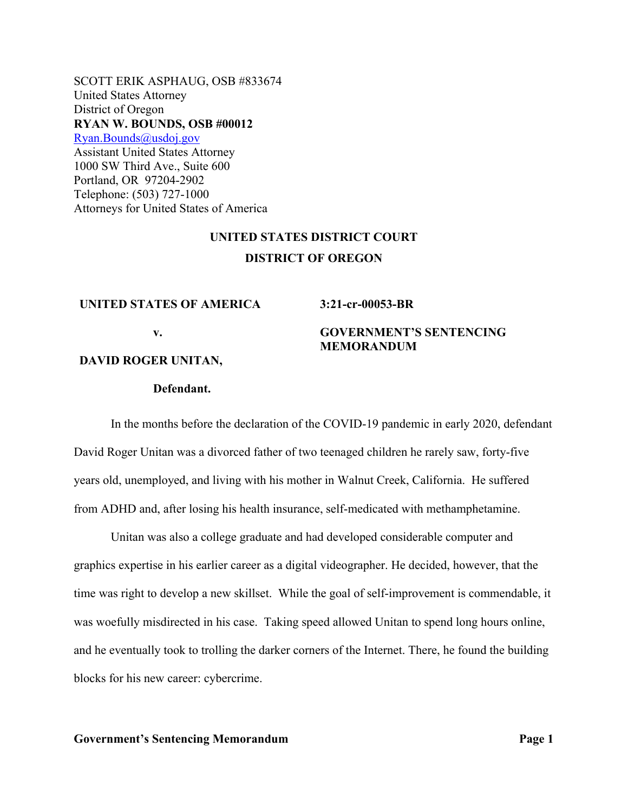SCOTT ERIK ASPHAUG, OSB #833674 United States Attorney District of Oregon **RYAN W. BOUNDS, OSB #00012**  Ryan.Bounds@usdoj.gov Assistant United States Attorney 1000 SW Third Ave., Suite 600 Portland, OR 97204-2902 Telephone: (503) 727-1000 Attorneys for United States of America

# **UNITED STATES DISTRICT COURT DISTRICT OF OREGON**

#### **UNITED STATES OF AMERICA**

#### **3:21-cr-00053-BR**

**MEMORANDUM** 

**GOVERNMENT'S SENTENCING** 

**v.** 

**DAVID ROGER UNITAN,** 

### **Defendant.**

In the months before the declaration of the COVID-19 pandemic in early 2020, defendant David Roger Unitan was a divorced father of two teenaged children he rarely saw, forty-five years old, unemployed, and living with his mother in Walnut Creek, California. He suffered from ADHD and, after losing his health insurance, self-medicated with methamphetamine.

Unitan was also a college graduate and had developed considerable computer and graphics expertise in his earlier career as a digital videographer. He decided, however, that the time was right to develop a new skillset. While the goal of self-improvement is commendable, it was woefully misdirected in his case. Taking speed allowed Unitan to spend long hours online, and he eventually took to trolling the darker corners of the Internet. There, he found the building blocks for his new career: cybercrime.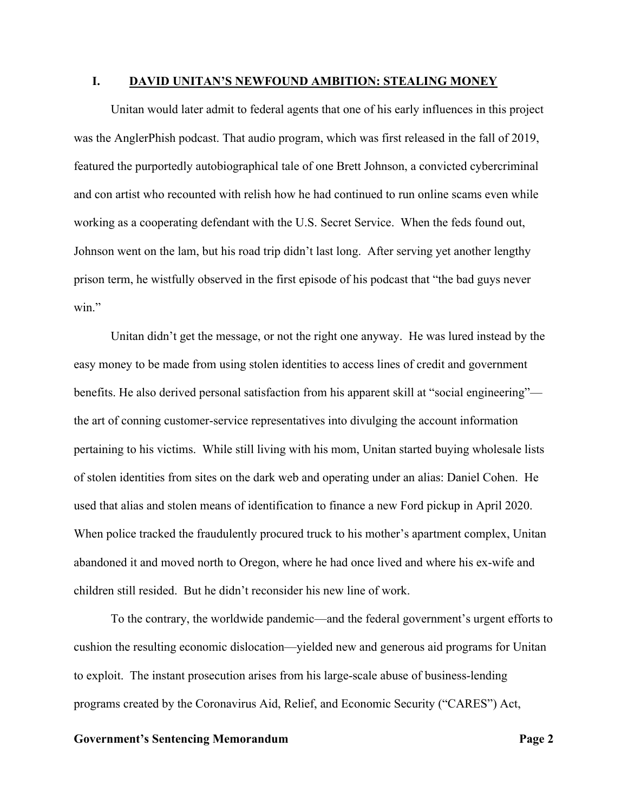#### **I. DAVID UNITAN'S NEWFOUND AMBITION: STEALING MONEY**

Unitan would later admit to federal agents that one of his early influences in this project was the AnglerPhish podcast. That audio program, which was first released in the fall of 2019, featured the purportedly autobiographical tale of one Brett Johnson, a convicted cybercriminal and con artist who recounted with relish how he had continued to run online scams even while working as a cooperating defendant with the U.S. Secret Service. When the feds found out, Johnson went on the lam, but his road trip didn't last long. After serving yet another lengthy prison term, he wistfully observed in the first episode of his podcast that "the bad guys never win."

Unitan didn't get the message, or not the right one anyway. He was lured instead by the easy money to be made from using stolen identities to access lines of credit and government benefits. He also derived personal satisfaction from his apparent skill at "social engineering" the art of conning customer-service representatives into divulging the account information pertaining to his victims. While still living with his mom, Unitan started buying wholesale lists of stolen identities from sites on the dark web and operating under an alias: Daniel Cohen. He used that alias and stolen means of identification to finance a new Ford pickup in April 2020. When police tracked the fraudulently procured truck to his mother's apartment complex, Unitan abandoned it and moved north to Oregon, where he had once lived and where his ex-wife and children still resided. But he didn't reconsider his new line of work.

To the contrary, the worldwide pandemic—and the federal government's urgent efforts to cushion the resulting economic dislocation—yielded new and generous aid programs for Unitan to exploit. The instant prosecution arises from his large-scale abuse of business-lending programs created by the Coronavirus Aid, Relief, and Economic Security ("CARES") Act,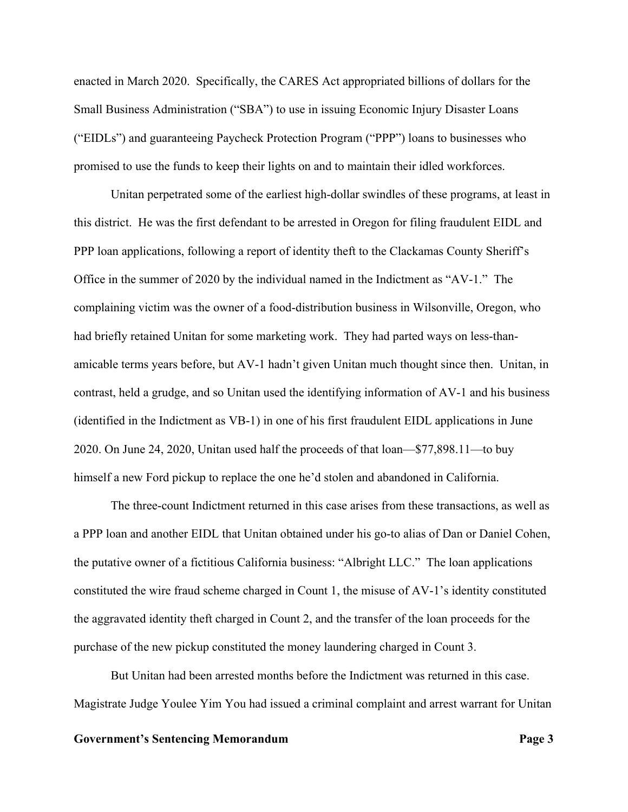enacted in March 2020. Specifically, the CARES Act appropriated billions of dollars for the Small Business Administration ("SBA") to use in issuing Economic Injury Disaster Loans ("EIDLs") and guaranteeing Paycheck Protection Program ("PPP") loans to businesses who promised to use the funds to keep their lights on and to maintain their idled workforces.

Unitan perpetrated some of the earliest high-dollar swindles of these programs, at least in this district. He was the first defendant to be arrested in Oregon for filing fraudulent EIDL and PPP loan applications, following a report of identity theft to the Clackamas County Sheriff's Office in the summer of 2020 by the individual named in the Indictment as "AV-1." The complaining victim was the owner of a food-distribution business in Wilsonville, Oregon, who had briefly retained Unitan for some marketing work. They had parted ways on less-thanamicable terms years before, but AV-1 hadn't given Unitan much thought since then. Unitan, in contrast, held a grudge, and so Unitan used the identifying information of AV-1 and his business (identified in the Indictment as VB-1) in one of his first fraudulent EIDL applications in June 2020. On June 24, 2020, Unitan used half the proceeds of that loan—\$77,898.11—to buy himself a new Ford pickup to replace the one he'd stolen and abandoned in California.

The three-count Indictment returned in this case arises from these transactions, as well as a PPP loan and another EIDL that Unitan obtained under his go-to alias of Dan or Daniel Cohen, the putative owner of a fictitious California business: "Albright LLC." The loan applications constituted the wire fraud scheme charged in Count 1, the misuse of AV-1's identity constituted the aggravated identity theft charged in Count 2, and the transfer of the loan proceeds for the purchase of the new pickup constituted the money laundering charged in Count 3.

But Unitan had been arrested months before the Indictment was returned in this case. Magistrate Judge Youlee Yim You had issued a criminal complaint and arrest warrant for Unitan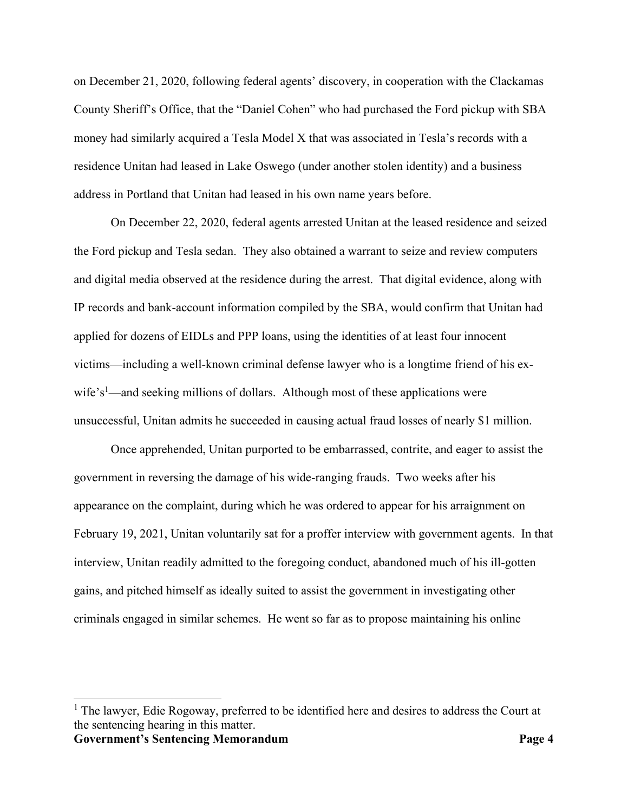on December 21, 2020, following federal agents' discovery, in cooperation with the Clackamas County Sheriff's Office, that the "Daniel Cohen" who had purchased the Ford pickup with SBA money had similarly acquired a Tesla Model X that was associated in Tesla's records with a residence Unitan had leased in Lake Oswego (under another stolen identity) and a business address in Portland that Unitan had leased in his own name years before.

On December 22, 2020, federal agents arrested Unitan at the leased residence and seized the Ford pickup and Tesla sedan. They also obtained a warrant to seize and review computers and digital media observed at the residence during the arrest. That digital evidence, along with IP records and bank-account information compiled by the SBA, would confirm that Unitan had applied for dozens of EIDLs and PPP loans, using the identities of at least four innocent victims—including a well-known criminal defense lawyer who is a longtime friend of his exwife's<sup>1</sup>—and seeking millions of dollars. Although most of these applications were unsuccessful, Unitan admits he succeeded in causing actual fraud losses of nearly \$1 million.

Once apprehended, Unitan purported to be embarrassed, contrite, and eager to assist the government in reversing the damage of his wide-ranging frauds. Two weeks after his appearance on the complaint, during which he was ordered to appear for his arraignment on February 19, 2021, Unitan voluntarily sat for a proffer interview with government agents. In that interview, Unitan readily admitted to the foregoing conduct, abandoned much of his ill-gotten gains, and pitched himself as ideally suited to assist the government in investigating other criminals engaged in similar schemes. He went so far as to propose maintaining his online

**Government's Sentencing Memorandum Page 4**  <sup>1</sup> The lawyer, Edie Rogoway, preferred to be identified here and desires to address the Court at the sentencing hearing in this matter.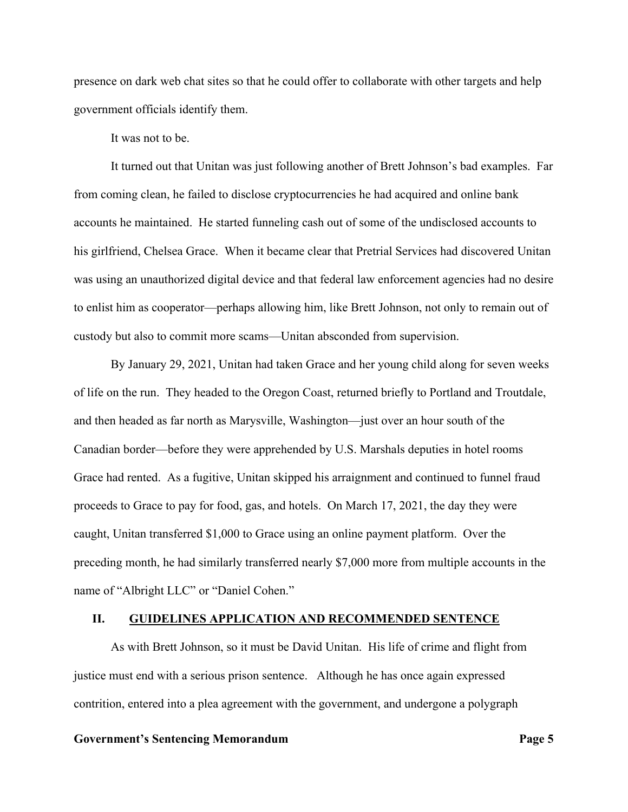presence on dark web chat sites so that he could offer to collaborate with other targets and help government officials identify them.

It was not to be.

It turned out that Unitan was just following another of Brett Johnson's bad examples. Far from coming clean, he failed to disclose cryptocurrencies he had acquired and online bank accounts he maintained. He started funneling cash out of some of the undisclosed accounts to his girlfriend, Chelsea Grace. When it became clear that Pretrial Services had discovered Unitan was using an unauthorized digital device and that federal law enforcement agencies had no desire to enlist him as cooperator—perhaps allowing him, like Brett Johnson, not only to remain out of custody but also to commit more scams—Unitan absconded from supervision.

By January 29, 2021, Unitan had taken Grace and her young child along for seven weeks of life on the run. They headed to the Oregon Coast, returned briefly to Portland and Troutdale, and then headed as far north as Marysville, Washington—just over an hour south of the Canadian border—before they were apprehended by U.S. Marshals deputies in hotel rooms Grace had rented. As a fugitive, Unitan skipped his arraignment and continued to funnel fraud proceeds to Grace to pay for food, gas, and hotels. On March 17, 2021, the day they were caught, Unitan transferred \$1,000 to Grace using an online payment platform. Over the preceding month, he had similarly transferred nearly \$7,000 more from multiple accounts in the name of "Albright LLC" or "Daniel Cohen."

#### **II. GUIDELINES APPLICATION AND RECOMMENDED SENTENCE**

As with Brett Johnson, so it must be David Unitan. His life of crime and flight from justice must end with a serious prison sentence. Although he has once again expressed contrition, entered into a plea agreement with the government, and undergone a polygraph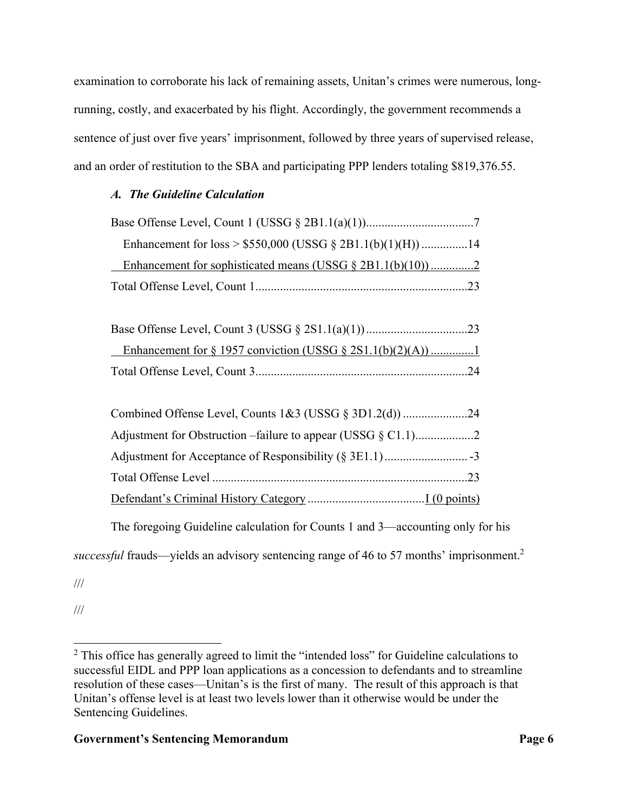examination to corroborate his lack of remaining assets, Unitan's crimes were numerous, longrunning, costly, and exacerbated by his flight. Accordingly, the government recommends a sentence of just over five years' imprisonment, followed by three years of supervised release, and an order of restitution to the SBA and participating PPP lenders totaling \$819,376.55.

## *A. The Guideline Calculation*

| Enhancement for sophisticated means (USSG $\S$ 2B1.1(b)(10))2 |  |
|---------------------------------------------------------------|--|
|                                                               |  |

The foregoing Guideline calculation for Counts 1 and 3—accounting only for his

*successful* frauds—yields an advisory sentencing range of 46 to 57 months' imprisonment.2

///

///

 $2$  This office has generally agreed to limit the "intended loss" for Guideline calculations to successful EIDL and PPP loan applications as a concession to defendants and to streamline resolution of these cases—Unitan's is the first of many. The result of this approach is that Unitan's offense level is at least two levels lower than it otherwise would be under the Sentencing Guidelines.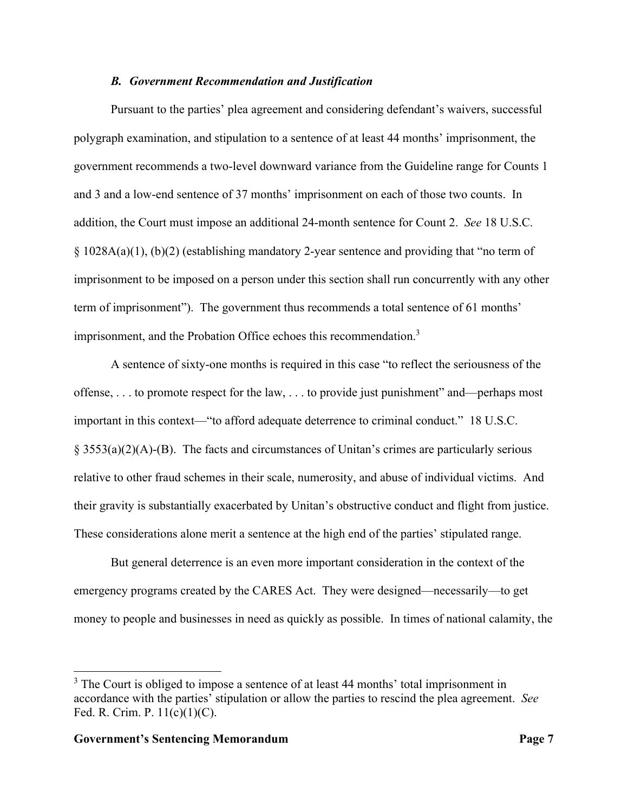#### *B. Government Recommendation and Justification*

Pursuant to the parties' plea agreement and considering defendant's waivers, successful polygraph examination, and stipulation to a sentence of at least 44 months' imprisonment, the government recommends a two-level downward variance from the Guideline range for Counts 1 and 3 and a low-end sentence of 37 months' imprisonment on each of those two counts. In addition, the Court must impose an additional 24-month sentence for Count 2. *See* 18 U.S.C.  $\S$  1028A(a)(1), (b)(2) (establishing mandatory 2-year sentence and providing that "no term of imprisonment to be imposed on a person under this section shall run concurrently with any other term of imprisonment"). The government thus recommends a total sentence of 61 months' imprisonment, and the Probation Office echoes this recommendation.<sup>3</sup>

A sentence of sixty-one months is required in this case "to reflect the seriousness of the offense, . . . to promote respect for the law, . . . to provide just punishment" and—perhaps most important in this context—"to afford adequate deterrence to criminal conduct." 18 U.S.C.  $\S$  3553(a)(2)(A)-(B). The facts and circumstances of Unitan's crimes are particularly serious relative to other fraud schemes in their scale, numerosity, and abuse of individual victims. And their gravity is substantially exacerbated by Unitan's obstructive conduct and flight from justice. These considerations alone merit a sentence at the high end of the parties' stipulated range.

But general deterrence is an even more important consideration in the context of the emergency programs created by the CARES Act. They were designed—necessarily—to get money to people and businesses in need as quickly as possible. In times of national calamity, the

 $3$  The Court is obliged to impose a sentence of at least 44 months' total imprisonment in accordance with the parties' stipulation or allow the parties to rescind the plea agreement. *See* Fed. R. Crim. P. 11(c)(1)(C).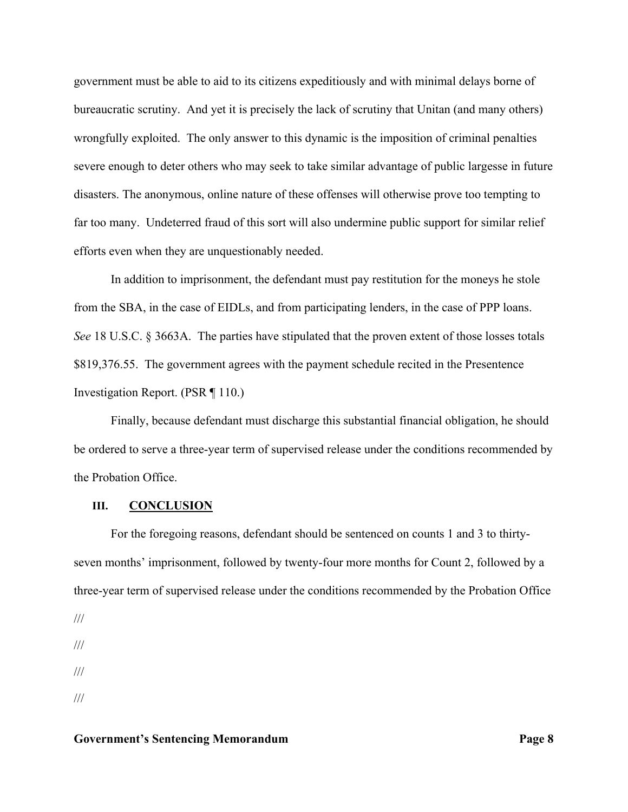government must be able to aid to its citizens expeditiously and with minimal delays borne of bureaucratic scrutiny. And yet it is precisely the lack of scrutiny that Unitan (and many others) wrongfully exploited. The only answer to this dynamic is the imposition of criminal penalties severe enough to deter others who may seek to take similar advantage of public largesse in future disasters. The anonymous, online nature of these offenses will otherwise prove too tempting to far too many. Undeterred fraud of this sort will also undermine public support for similar relief efforts even when they are unquestionably needed.

In addition to imprisonment, the defendant must pay restitution for the moneys he stole from the SBA, in the case of EIDLs, and from participating lenders, in the case of PPP loans. *See* 18 U.S.C. § 3663A. The parties have stipulated that the proven extent of those losses totals \$819,376.55. The government agrees with the payment schedule recited in the Presentence Investigation Report. (PSR ¶ 110.)

Finally, because defendant must discharge this substantial financial obligation, he should be ordered to serve a three-year term of supervised release under the conditions recommended by the Probation Office.

#### **III. CONCLUSION**

For the foregoing reasons, defendant should be sentenced on counts 1 and 3 to thirtyseven months' imprisonment, followed by twenty-four more months for Count 2, followed by a three-year term of supervised release under the conditions recommended by the Probation Office

///

<sup>///</sup>  /// ///